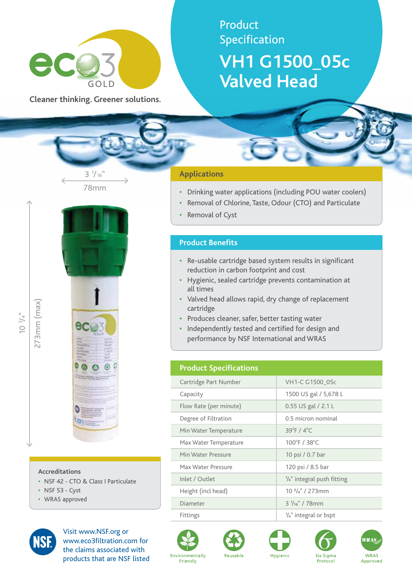

**Cleaner thinking. Greener solutions.**

78mm

 $3\frac{1}{16}$ "

# Product Specification **VH1 G1500\_05c Valved Head**

# **Applications**

- **•**  Drinking water applications (including POU water coolers)
- Removal of Chlorine, Taste, Odour (CTO) and Particulate
- **Removal of Cyst**

# **Product Benefits**

- **•**  Re-usable cartridge based system results in significant reduction in carbon footprint and cost
- **•**  Hygienic, sealed cartridge prevents contamination at all times
- **•**  Valved head allows rapid, dry change of replacement cartridge
- **•**  Produces cleaner, safer, better tasting water
- **•**  Independently tested and certified for design and performance by NSF International and WRAS

# **Product Specifications**

| VH1-C G1500 05c                       |
|---------------------------------------|
| 1500 US gal / 5,678 L                 |
| 0.55 US gal / 2.1 L                   |
| 0.5 micron nominal                    |
| $39^{\circ}$ F / $4^{\circ}$ C        |
| 100°F / 38°C                          |
| 10 psi / 0.7 bar                      |
| 120 psi / 8.5 bar                     |
| $\frac{1}{4}$ " integral push fitting |
| $103/4$ " / 273mm                     |
| $3\frac{1}{16}$ " / 78mm              |
| $\frac{1}{4}$ " integral or bspt      |
|                                       |









Protocol



273mm (max)

273mm (max)



#### **Accreditations**

- **•**  NSF 42 CTO & Class I Particulate
- **•**  NSF 53 Cyst
- **•**  WRAS approved



Visit www.NSF.org or www.eco3filtration.com for the claims associated with products that are NSF listed



Reusable